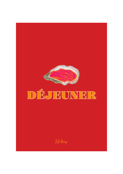

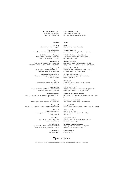### **FROKOST**

**Østers** 40 *Fine de Claire - rosévinaigrette* 

**Jomfruhummer** 230 *Jomfruhummer – aïoli - grillet brød – citron* 

> **Grillet halv hummer / dagspris** *Halv hummer – urtesmør – grillet brød – citron – dild mayonnaise – frisée*

**Moules** 135/185 *Blåmuslinger fra Limfjorden - gulerødder - bladselleri - citron - hvidvin - fløde – mascarpone* 

> **Røget laks** 185 *Røget laks – karamelliseret æble – chili – rugbrøds chips – urte mayonnaise*

**Sprødstegt rødspættefilet** 155 *Rødspættefilet – rejer – dild mayonnaise – citron – rugbrød*

**Rejer** 155 *Smilende æg – rejer – dild mayonnaise – karse – rugbrød*

**Fruit de mer** 450 *Østers – rosé rejer – krabbeklo – jomfruhummer – blåmuslinger – aïoli – grillet brød* 

**Fjordrejer / dagspris** *Fjordrejer – syltede hvide asparges – grillet toast – grillet citron – mayonnaise* 

> **Rosé rejer** 165 *Pil selv rejer – citron mayonnaise – grillet brød*

**Escargots** 130 *Snegle - smør - hvidløg - citron - brød - tomat - persille* 

> **Omelet** 125 *Danske økologiske æg - økologisk Vesterhavsost - sprød salat Tilvalg skinke 35*

> > **Tun tatar** 165 *Tun - æbler - citron mayo - urter - hørfrø - kartoffel chips*

**Rørt tatar** 135/185 *90g/140g tatar af dansk Jersey okseinderlår - dansk økologisk æggeblomme - cognac* 

**Charcuterie** 140

# **LUNCH**

**Oysters** €5.75 *Fine de Claire - rosé vinaigrette* 

**Langoustines** €32.75 *Langoustines – aïoli - grilled bread – lemon* 

**Grilled half lobster / price of the day** *Half lobster – herb butter – grilled bread – dill mayonnaise – frisée*

**Moules** €19.25/26.50 *Blue-lipped mussels from Limfjorden - carrots celery - lemon - white wine - cream - mascarpone* 

**Smoked salmon** €26.50 *Smoked salmon – caramelized apple – chili – rye bread chips – herb mayonnaise* 

**Pan-fried filet of plaice** €22 *Filet of plaice – shrimps – dill mayonnaise – lemon – rye bread*

**Shrimps** €22 *Soft boiled egg – shrimps – dill mayonnaise – cress - rye bread*

*Små delikatesse***r** *Small delicacies*

**Fruit de mer /** €64.25 *Oysters – rosé shrimps – crab claw – langoustines – blue-lipped mussels – aïoli – grilled bread*

**Fjord shrimps / price of the day** *Fjord shrimps – pickled white asparagus – grilled toast – grilled lemon – mayonnaise*

**Shrimps in the shell** €22.17 *Rosé shrimps - lemon mayo - grilled bread*

**Escargots** €18.50 *Snails - butter - garlic - lemon - bread - tomato - parsley*

**Omelette** €17.75 *Danish organic eggs organic Vesterhavs-cheese - crispy salad Add ham €5*

**Tuna tartare** €23.50 *Tuna – apples – lemon mayonnaise – herbs flaxseed – potato chips* 

**Stirred beef tartare** €19.25/26.50 *90g/140g tartare of Danish Jersey topside - Danish organic egg yolk - cognac*

**Charcuterie** €20

**2 RETTERS FROKOST** 245 *Spørg din tjener om vores frokost og vegetarmenu* 

#### **2 COURSE LUNCH** €35

*Please ask your waiter about the lunch menu and vegetarian menu*

Information om indhold af allergene ingredienser kan fås ved henvendelse til restaurantens personale

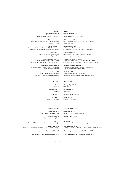# **FROKOST**

**Croque monsieur** 140 *Skinke - mornay sauce - økologisk Vesterhavsost - sprød salat* 

**Chèvre chaud** 155 *Gratineret gedeost - salat – ristede valnødder - vinaigrette – beder*

**Salade Niçoise** 175 *Grillet tun – haricots verts – kartoffel – tomat – salat – æg - croutoner – oliven – rødløg – vinaigrette*

> **Cæsarsalat** 155 *Dansk frilandskylling - parmesan - dansk peberbacon - hvidløgscroutoner*

**Classic club sandwich** 160 *Dansk frilandskylling - bacon - tomat - syltet agurk - syltet rødløg - fritter - chili mayo* 

**Dampede hvide asparges** 190 *Hvide asparges – ærter – salat – Hollandaise Tilkøb fjordrejer / dagspris*

> **Steak frites** 350 *Steak - bagt skalotteløg - fritter Vælg mellem béarnaise eller pebersauce*

## **TILBEHØR**

**Fritter** 60 *Chilimayo* 

**Salade verte** 45 *Vinaigrette* 

**Sæson grønt** 70

**Kartofler** 45 *Smør - salt - persille*

Information about the content of allergenic ingredients can be obtained from the restaurant's staff

**LUNCH Croque monsieur** €20 *Ham - mornay sauce - Vesterhavs-cheese - crispy salad*

**Chèvre chaud** €22 *Goat's cheese au gratin - salad – roasted walnuts – vinaigrette - beets*

**Salade Niçoise** €25 *Grilled tuna – haricots verts – potato – tomato – salade – egg - croutons – olives – red onions – vinaigrette*

**Caesar salad** €22 *Danish free-range chicken - parmesan cheese - Danish pepper bacon - garlic croutons*

**Classic club sandwich** €22.75 *Danish free-range chicken - bacon - tomato - pickled cucumber - pickled red onion - chunky chips - chili mayo*

**Steamed white asparagus** €27 *White asparagus – peas – salade – Hollandaise Add on Fjord shrimps / price of the day*

**Steak frites** €50 *Steak – baked shallots - chunky chips Choose between béarnaise sauce or pepper sauce*

**SIDE ORDERS**

**Chunky chips** €8.50 *Chili mayo* 

**Salade verte** €6.50

*Vinaigrette* 

#### **Seasonal vegetables** €10

**Potatoes** €6.50 *Butter - salt - parsley*

#### **DESSERT OG OST**

**Crème brûlée** 130 *Fløde - fransk polynesisk vanilje* 

**Hindbær tærte** 130 *Hindbær – vanilje creme – mørdejsbund*

**Bær** 125 *Bær – hyldeblomst – hasselnøds marengs – vaniljeis*

**Crêpes suzette** 125 *Flamberede pandekager - mandler - Grand Marnier - vaniljeis*

**Ost** *sprødt - sødt* /pr. stk. 40/3 stk. 110

## **DESSERT AND CHEESE**

**Crème brûlée** €18.50 *Cream - French Polynesian vanilla*

**Raspberry pie** €18.50 *Raspberry – vanilla cream – puff pastry*

**Hjemmelavede petits fours** pr. stk. 20/3 stk. 55 **Homemade petits fours** apiece €2.75/3 pcs. €7.75

**Berries** €17.75 *Berries – elderflower – hazzelnut merringue – vanilla ice cream*

**Crêpes suzette** €17.75 *Flambéed pancakes - almonds - Grand Marnier - vanilla ice cream* 

**Cheese** *crisp - sweet /*apiece €5.75/3 pcs. €15.75